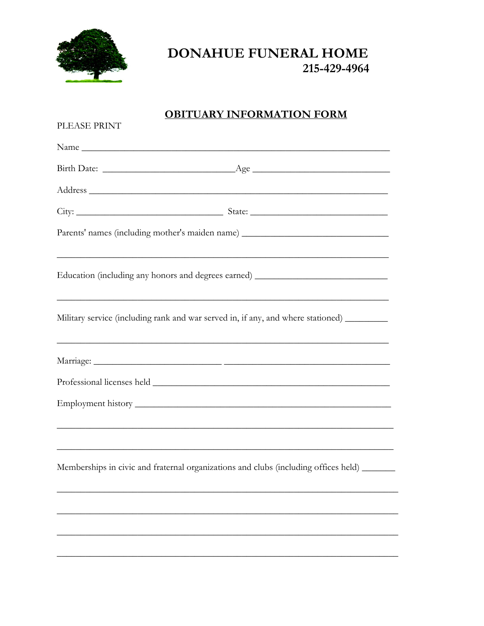

## DONAHUE FUNERAL HOME 215-429-4964

## **OBITUARY INFORMATION FORM**

| PLEASE PRINT |                                                                                            |  |
|--------------|--------------------------------------------------------------------------------------------|--|
|              |                                                                                            |  |
|              |                                                                                            |  |
|              |                                                                                            |  |
|              |                                                                                            |  |
|              | Parents' names (including mother's maiden name) ________________________________           |  |
|              | Education (including any honors and degrees earned) ____________________________           |  |
|              | Military service (including rank and war served in, if any, and where stationed) _________ |  |
|              |                                                                                            |  |
|              |                                                                                            |  |
|              | ,我们也不能在这里的时候,我们也不能在这里的时候,我们也不能会在这里的时候,我们也不能会在这里的时候,我们也不能会在这里的时候,我们也不能会在这里的时候,我们也           |  |
|              |                                                                                            |  |
|              | Memberships in civic and fraternal organizations and clubs (including offices held)        |  |
|              |                                                                                            |  |
|              |                                                                                            |  |
|              |                                                                                            |  |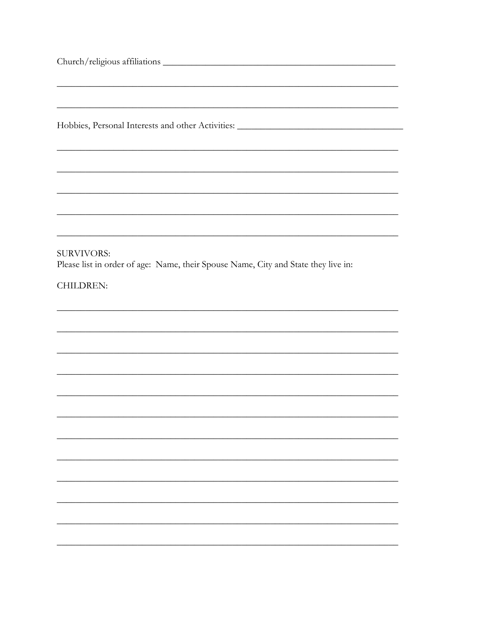| Hobbies, Personal Interests and other Activities: _______________________________                                    |
|----------------------------------------------------------------------------------------------------------------------|
| <u> 1989 - Johann John Stone, Amerikaansk politiker (d. 1989)</u>                                                    |
|                                                                                                                      |
| <b>SURVIVORS:</b><br>Please list in order of age: Name, their Spouse Name, City and State they live in:<br>CHILDREN: |
|                                                                                                                      |
|                                                                                                                      |

<u> 1989 - Johann Barnett, fransk politiker (</u>

<u> 1999 - Jan James James Barnett, amerikan berlindar (h. 1989).</u>

<u> 1989 - Jan Samuel Barbara, margaret e populari e populari e populari e populari e populari e populari e pop</u>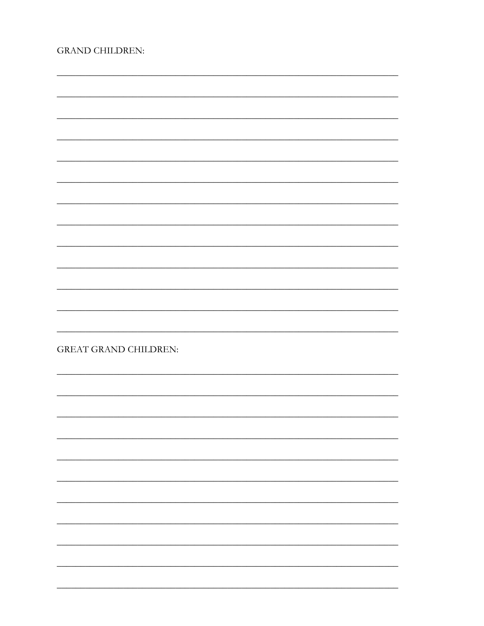| <b>GRAND CHILDREN:</b> |  |
|------------------------|--|
|------------------------|--|

| <b>GREAT GRAND CHILDREN:</b> |  |
|------------------------------|--|
|                              |  |
|                              |  |
|                              |  |
|                              |  |
|                              |  |
|                              |  |
|                              |  |
|                              |  |
|                              |  |
|                              |  |
|                              |  |
|                              |  |
|                              |  |
|                              |  |
|                              |  |
|                              |  |
|                              |  |
|                              |  |
|                              |  |
|                              |  |
|                              |  |
|                              |  |
|                              |  |
|                              |  |
|                              |  |
|                              |  |
|                              |  |
|                              |  |
|                              |  |
|                              |  |
|                              |  |
|                              |  |
|                              |  |
|                              |  |